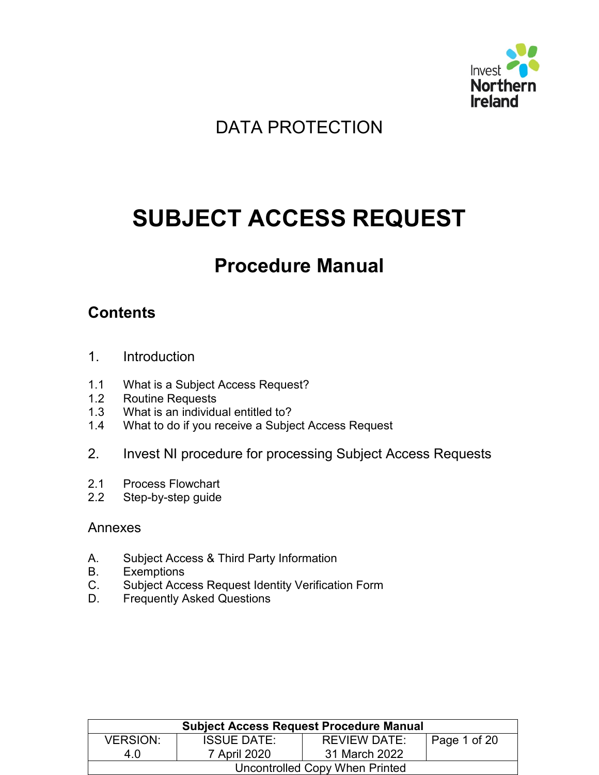

## DATA PROTECTION

# **SUBJECT ACCESS REQUEST**

## **Procedure Manual**

## **Contents**

- 1. Introduction
- 1.1 What is a Subject Access Request?
- 1.2 Routine Requests
- 1.3 What is an individual entitled to?
- 1.4 What to do if you receive a Subject Access Request
- 2. Invest NI procedure for processing Subject Access Requests
- 2.1 Process Flowchart
- 2.2 Step-by-step guide

#### Annexes

- A. Subject Access & Third Party Information
- B. Exemptions
- C. Subject Access Request Identity Verification Form
- D. Frequently Asked Questions

| <b>Subject Access Request Procedure Manual</b> |                    |                     |                      |  |
|------------------------------------------------|--------------------|---------------------|----------------------|--|
| <b>VERSION:</b>                                | <b>ISSUE DATE:</b> | <b>REVIEW DATE:</b> | $\vert$ Page 1 of 20 |  |
| 4.0                                            | 7 April 2020       | 31 March 2022       |                      |  |
| Uncontrolled Copy When Printed                 |                    |                     |                      |  |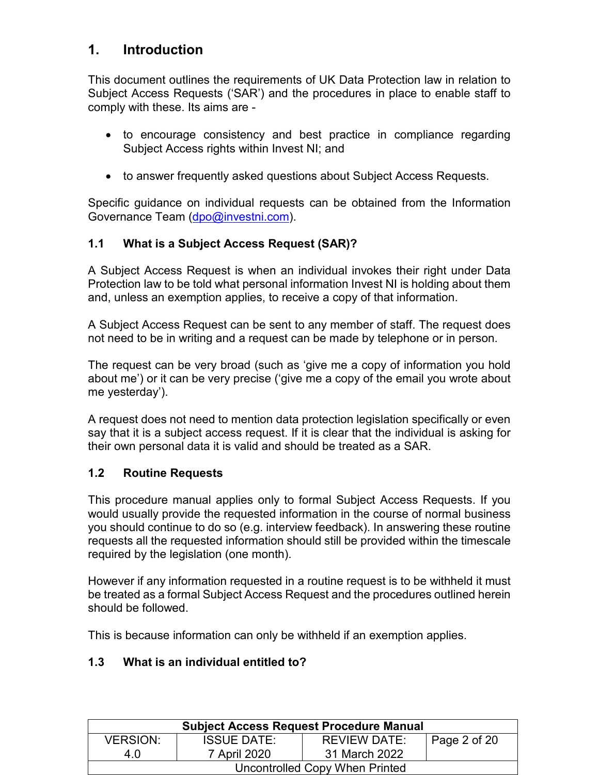## **1. Introduction**

This document outlines the requirements of UK Data Protection law in relation to Subject Access Requests ('SAR') and the procedures in place to enable staff to comply with these. Its aims are -

- to encourage consistency and best practice in compliance regarding Subject Access rights within Invest NI; and
- to answer frequently asked questions about Subject Access Requests.

Specific guidance on individual requests can be obtained from the Information Governance Team [\(dpo@investni.com\)](mailto:dpo@investni.com).

#### **1.1 What is a Subject Access Request (SAR)?**

A Subject Access Request is when an individual invokes their right under Data Protection law to be told what personal information Invest NI is holding about them and, unless an exemption applies, to receive a copy of that information.

A Subject Access Request can be sent to any member of staff. The request does not need to be in writing and a request can be made by telephone or in person.

The request can be very broad (such as 'give me a copy of information you hold about me') or it can be very precise ('give me a copy of the email you wrote about me yesterday').

A request does not need to mention data protection legislation specifically or even say that it is a subject access request. If it is clear that the individual is asking for their own personal data it is valid and should be treated as a SAR.

#### **1.2 Routine Requests**

This procedure manual applies only to formal Subject Access Requests. If you would usually provide the requested information in the course of normal business you should continue to do so (e.g. interview feedback). In answering these routine requests all the requested information should still be provided within the timescale required by the legislation (one month).

However if any information requested in a routine request is to be withheld it must be treated as a formal Subject Access Request and the procedures outlined herein should be followed.

This is because information can only be withheld if an exemption applies.

#### **1.3 What is an individual entitled to?**

| <b>Subject Access Request Procedure Manual</b> |                    |               |              |  |
|------------------------------------------------|--------------------|---------------|--------------|--|
| <b>VERSION:</b>                                | <b>ISSUE DATE:</b> | REVIEW DATE:  | Page 2 of 20 |  |
| 4 O                                            | 7 April 2020       | 31 March 2022 |              |  |
| Uncontrolled Copy When Printed                 |                    |               |              |  |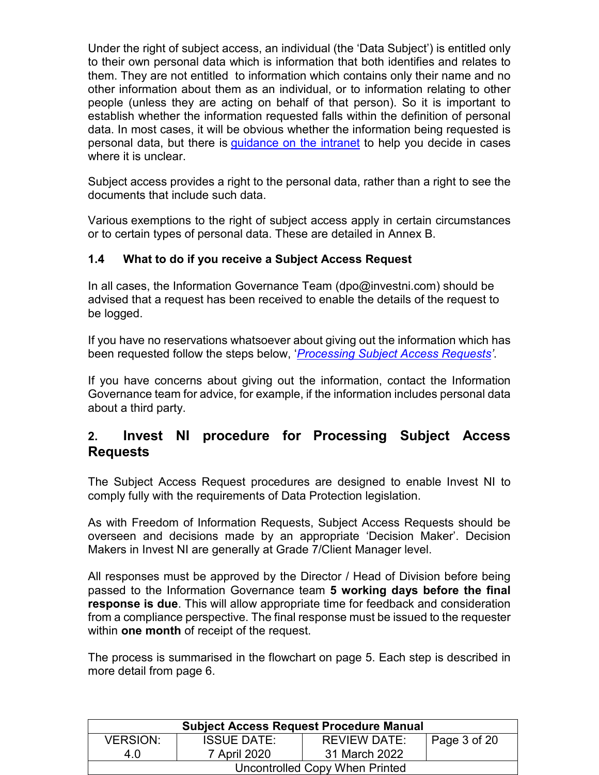Under the right of subject access, an individual (the 'Data Subject') is entitled only to their own personal data which is information that both identifies and relates to them. They are not entitled to information which contains only their name and no other information about them as an individual, or to information relating to other people (unless they are acting on behalf of that person). So it is important to establish whether the information requested falls within the definition of personal data. In most cases, it will be obvious whether the information being requested is personal data, but there is [guidance on the intranet](https://intranet.investni.com/my-invest-ni/services/data-protection.html) to help you decide in cases where it is unclear.

Subject access provides a right to the personal data, rather than a right to see the documents that include such data.

Various exemptions to the right of subject access apply in certain circumstances or to certain types of personal data. These are detailed in Annex B.

#### **1.4 What to do if you receive a Subject Access Request**

In all cases, the Information Governance Team (dpo@investni.com) should be advised that a request has been received to enable the details of the request to be logged.

If you have no reservations whatsoever about giving out the information which has been requested follow the steps below, '*Processing Subject Access Requests'*.

If you have concerns about giving out the information, contact the Information Governance team for advice, for example, if the information includes personal data about a third party.

### **2. Invest NI procedure for Processing Subject Access Requests**

The Subject Access Request procedures are designed to enable Invest NI to comply fully with the requirements of Data Protection legislation.

As with Freedom of Information Requests, Subject Access Requests should be overseen and decisions made by an appropriate 'Decision Maker'. Decision Makers in Invest NI are generally at Grade 7/Client Manager level.

All responses must be approved by the Director / Head of Division before being passed to the Information Governance team **5 working days before the final response is due**. This will allow appropriate time for feedback and consideration from a compliance perspective. The final response must be issued to the requester within **one month** of receipt of the request.

The process is summarised in the flowchart on page 5. Each step is described in more detail from page 6.

| <b>Subject Access Request Procedure Manual</b> |                    |                     |              |  |
|------------------------------------------------|--------------------|---------------------|--------------|--|
| <b>VERSION:</b>                                | <b>ISSUE DATE:</b> | <b>REVIEW DATE:</b> | Page 3 of 20 |  |
| 4.0                                            | 7 April 2020       | 31 March 2022       |              |  |
| Uncontrolled Copy When Printed                 |                    |                     |              |  |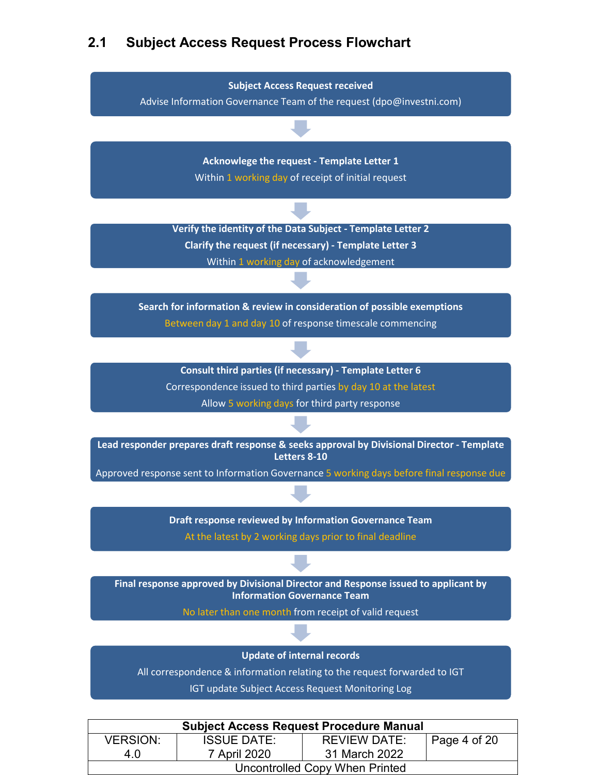## **2.1 Subject Access Request Process Flowchart**



| <b>Subject Access Request Procedure Manual</b> |                    |                     |              |  |
|------------------------------------------------|--------------------|---------------------|--------------|--|
| <b>VERSION:</b>                                | <b>ISSUE DATE:</b> | <b>REVIEW DATE:</b> | Page 4 of 20 |  |
| 4 O                                            | 7 April 2020       | 31 March 2022       |              |  |
| Uncontrolled Copy When Printed                 |                    |                     |              |  |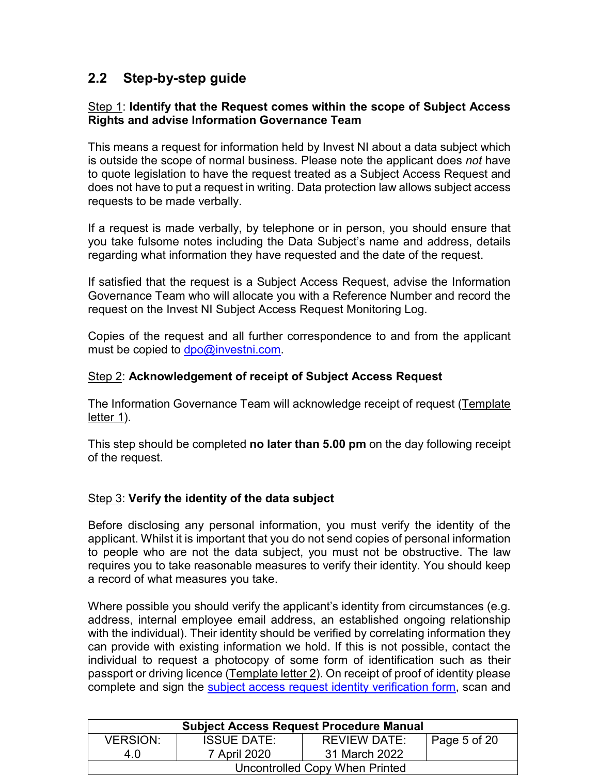## **2.2 Step-by-step guide**

#### Step 1: **Identify that the Request comes within the scope of Subject Access Rights and advise Information Governance Team**

This means a request for information held by Invest NI about a data subject which is outside the scope of normal business. Please note the applicant does *not* have to quote legislation to have the request treated as a Subject Access Request and does not have to put a request in writing. Data protection law allows subject access requests to be made verbally.

If a request is made verbally, by telephone or in person, you should ensure that you take fulsome notes including the Data Subject's name and address, details regarding what information they have requested and the date of the request.

If satisfied that the request is a Subject Access Request, advise the Information Governance Team who will allocate you with a Reference Number and record the request on the Invest NI Subject Access Request Monitoring Log.

Copies of the request and all further correspondence to and from the applicant must be copied to [dpo@investni.com.](mailto:dpo@investni.com)

#### Step 2: **Acknowledgement of receipt of Subject Access Request**

The Information Governance Team will acknowledge receipt of request (Template letter 1).

This step should be completed **no later than 5.00 pm** on the day following receipt of the request.

#### Step 3: **Verify the identity of the data subject**

Before disclosing any personal information, you must verify the identity of the applicant. Whilst it is important that you do not send copies of personal information to people who are not the data subject, you must not be obstructive. The law requires you to take reasonable measures to verify their identity. You should keep a record of what measures you take.

Where possible you should verify the applicant's identity from circumstances (e.g. address, internal employee email address, an established ongoing relationship with the individual). Their identity should be verified by correlating information they can provide with existing information we hold. If this is not possible, contact the individual to request a photocopy of some form of identification such as their passport or driving licence (Template letter 2). On receipt of proof of identity please complete and sign the subject access request identity verification form, scan and

| <b>Subject Access Request Procedure Manual</b> |                    |                     |              |  |
|------------------------------------------------|--------------------|---------------------|--------------|--|
| <b>VERSION:</b>                                | <b>ISSUE DATE:</b> | <b>REVIEW DATE:</b> | Page 5 of 20 |  |
| 4.0                                            |                    |                     |              |  |
| Uncontrolled Copy When Printed                 |                    |                     |              |  |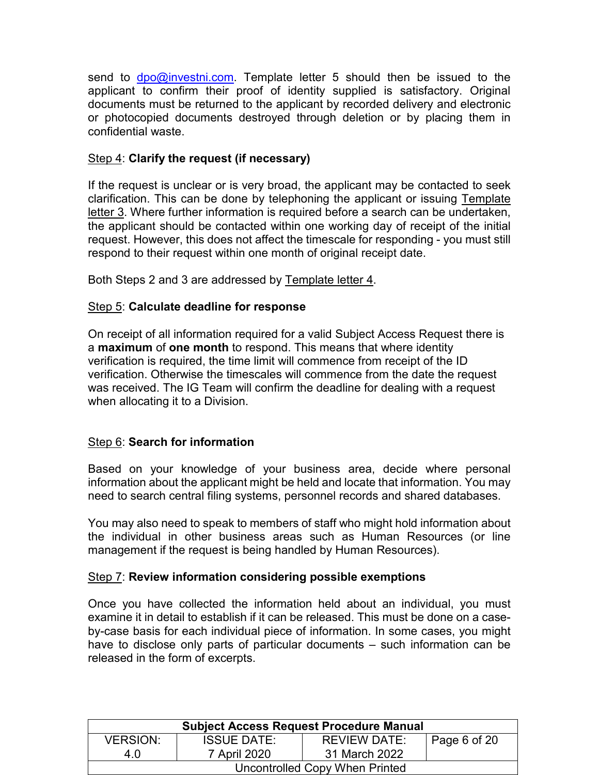send to  $\text{dpo@investni.com}$ . Template letter 5 should then be issued to the applicant to confirm their proof of identity supplied is satisfactory. Original documents must be returned to the applicant by recorded delivery and electronic or photocopied documents destroyed through deletion or by placing them in confidential waste.

#### Step 4: **Clarify the request (if necessary)**

If the request is unclear or is very broad, the applicant may be contacted to seek clarification. This can be done by telephoning the applicant or issuing Template letter 3. Where further information is required before a search can be undertaken, the applicant should be contacted within one working day of receipt of the initial request. However, this does not affect the timescale for responding - you must still respond to their request within one month of original receipt date.

Both Steps 2 and 3 are addressed by Template letter 4.

#### Step 5: **Calculate deadline for response**

On receipt of all information required for a valid Subject Access Request there is a **maximum** of **one month** to respond. This means that where identity verification is required, the time limit will commence from receipt of the ID verification. Otherwise the timescales will commence from the date the request was received. The IG Team will confirm the deadline for dealing with a request when allocating it to a Division.

#### Step 6: **Search for information**

Based on your knowledge of your business area, decide where personal information about the applicant might be held and locate that information. You may need to search central filing systems, personnel records and shared databases.

You may also need to speak to members of staff who might hold information about the individual in other business areas such as Human Resources (or line management if the request is being handled by Human Resources).

#### Step 7: **Review information considering possible exemptions**

Once you have collected the information held about an individual, you must examine it in detail to establish if it can be released. This must be done on a caseby-case basis for each individual piece of information. In some cases, you might have to disclose only parts of particular documents – such information can be released in the form of excerpts.

| <b>Subject Access Request Procedure Manual</b> |                    |               |              |  |
|------------------------------------------------|--------------------|---------------|--------------|--|
| <b>VERSION:</b>                                | <b>ISSUE DATE:</b> | REVIEW DATE:  | Page 6 of 20 |  |
| 40                                             | 7 April 2020       | 31 March 2022 |              |  |
| Uncontrolled Copy When Printed                 |                    |               |              |  |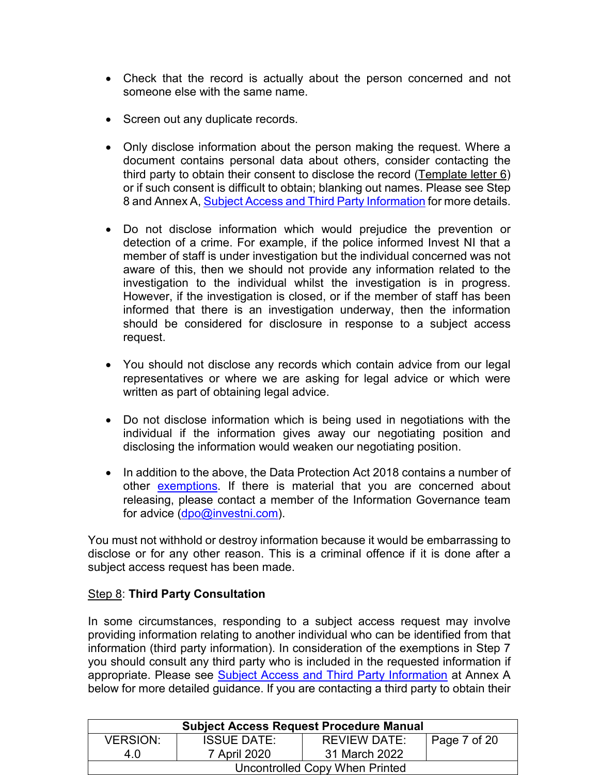- Check that the record is actually about the person concerned and not someone else with the same name.
- Screen out any duplicate records.
- Only disclose information about the person making the request. Where a document contains personal data about others, consider contacting the third party to obtain their consent to disclose the record (Template letter 6) or if such consent is difficult to obtain; blanking out names. Please see Step 8 and Annex A, Subject Access and Third Party Information for more details.
- Do not disclose information which would prejudice the prevention or detection of a crime. For example, if the police informed Invest NI that a member of staff is under investigation but the individual concerned was not aware of this, then we should not provide any information related to the investigation to the individual whilst the investigation is in progress. However, if the investigation is closed, or if the member of staff has been informed that there is an investigation underway, then the information should be considered for disclosure in response to a subject access request.
- You should not disclose any records which contain advice from our legal representatives or where we are asking for legal advice or which were written as part of obtaining legal advice.
- Do not disclose information which is being used in negotiations with the individual if the information gives away our negotiating position and disclosing the information would weaken our negotiating position.
- In addition to the above, the Data Protection Act 2018 contains a number of other exemptions. If there is material that you are concerned about releasing, please contact a member of the Information Governance team for advice [\(dpo@investni.com\)](mailto:dpo@investni.com).

You must not withhold or destroy information because it would be embarrassing to disclose or for any other reason. This is a criminal offence if it is done after a subject access request has been made.

#### Step 8: **Third Party Consultation**

In some circumstances, responding to a subject access request may involve providing information relating to another individual who can be identified from that information (third party information). In consideration of the exemptions in Step 7 you should consult any third party who is included in the requested information if appropriate. Please see Subject Access and Third Party Information at Annex A below for more detailed guidance. If you are contacting a third party to obtain their

| <b>Subject Access Request Procedure Manual</b> |                    |                     |                                      |  |
|------------------------------------------------|--------------------|---------------------|--------------------------------------|--|
| <b>VERSION:</b>                                | <b>ISSUE DATE:</b> | <b>REVIEW DATE:</b> | $^{\prime}$ Page 7 of 20 $^{\prime}$ |  |
| 4.0                                            | 7 April 2020       | 31 March 2022       |                                      |  |
| Uncontrolled Copy When Printed                 |                    |                     |                                      |  |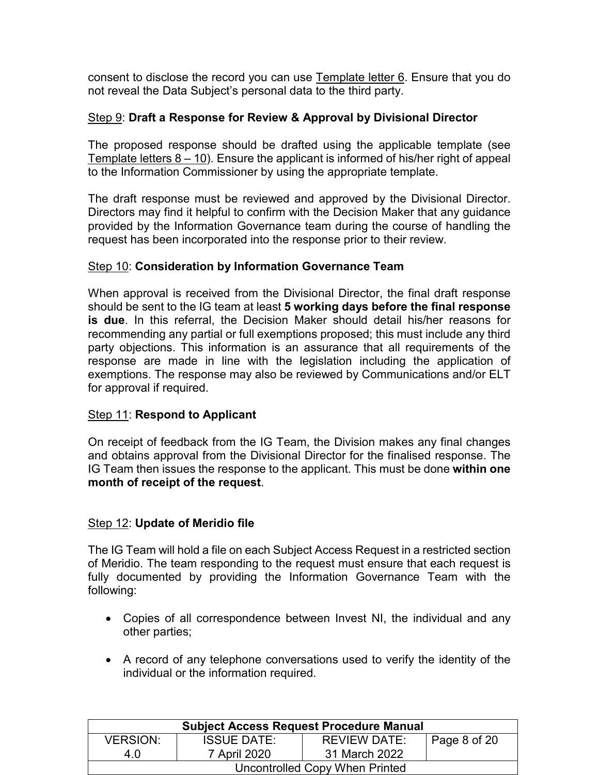consent to disclose the record you can use Template letter 6. Ensure that you do not reveal the Data Subject's personal data to the third party.

#### Step 9: **Draft a Response for Review & Approval by Divisional Director**

The proposed response should be drafted using the applicable template (see Template letters 8 – 10). Ensure the applicant is informed of his/her right of appeal to the Information Commissioner by using the appropriate template.

The draft response must be reviewed and approved by the Divisional Director. Directors may find it helpful to confirm with the Decision Maker that any guidance provided by the Information Governance team during the course of handling the request has been incorporated into the response prior to their review.

#### Step 10: **Consideration by Information Governance Team**

When approval is received from the Divisional Director, the final draft response should be sent to the IG team at least **5 working days before the final response is due**. In this referral, the Decision Maker should detail his/her reasons for recommending any partial or full exemptions proposed; this must include any third party objections. This information is an assurance that all requirements of the response are made in line with the legislation including the application of exemptions. The response may also be reviewed by Communications and/or ELT for approval if required.

#### Step 11: **Respond to Applicant**

On receipt of feedback from the IG Team, the Division makes any final changes and obtains approval from the Divisional Director for the finalised response. The IG Team then issues the response to the applicant. This must be done **within one month of receipt of the request**.

#### Step 12: **Update of Meridio file**

The IG Team will hold a file on each Subject Access Request in a restricted section of Meridio. The team responding to the request must ensure that each request is fully documented by providing the Information Governance Team with the following:

- Copies of all correspondence between Invest NI, the individual and any other parties;
- A record of any telephone conversations used to verify the identity of the individual or the information required.

| <b>Subject Access Request Procedure Manual</b> |                    |                     |              |  |
|------------------------------------------------|--------------------|---------------------|--------------|--|
| <b>VERSION:</b>                                | <b>ISSUE DATE:</b> | <b>REVIEW DATE:</b> | Page 8 of 20 |  |
| 4 O                                            | 7 April 2020       | 31 March 2022       |              |  |
| Uncontrolled Copy When Printed                 |                    |                     |              |  |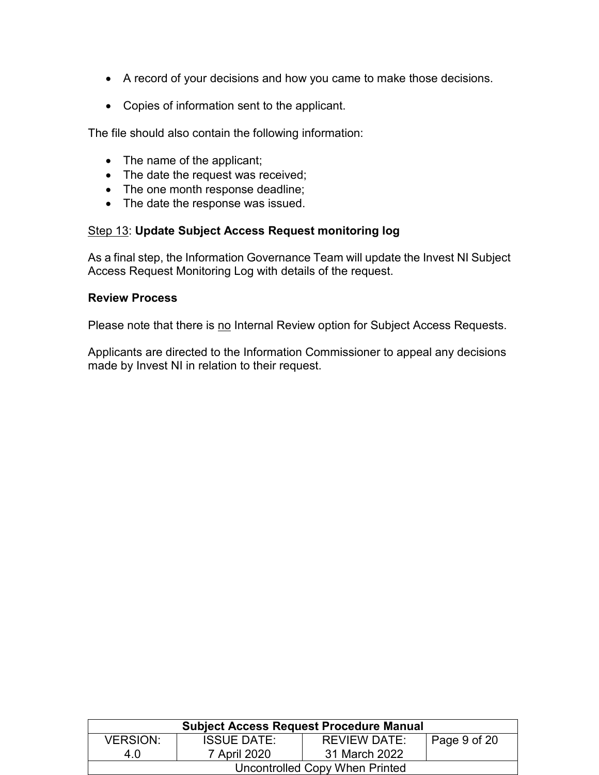- A record of your decisions and how you came to make those decisions.
- Copies of information sent to the applicant.

The file should also contain the following information:

- The name of the applicant;
- The date the request was received;
- The one month response deadline;
- The date the response was issued.

#### Step 13: **Update Subject Access Request monitoring log**

As a final step, the Information Governance Team will update the Invest NI Subject Access Request Monitoring Log with details of the request.

#### **Review Process**

Please note that there is no Internal Review option for Subject Access Requests.

Applicants are directed to the Information Commissioner to appeal any decisions made by Invest NI in relation to their request.

| <b>Subject Access Request Procedure Manual</b> |                    |                     |                      |  |
|------------------------------------------------|--------------------|---------------------|----------------------|--|
| <b>VERSION:</b>                                | <b>ISSUE DATE:</b> | <b>REVIEW DATE:</b> | $\vert$ Page 9 of 20 |  |
| 4.0                                            | 7 April 2020       | 31 March 2022       |                      |  |
| Uncontrolled Copy When Printed                 |                    |                     |                      |  |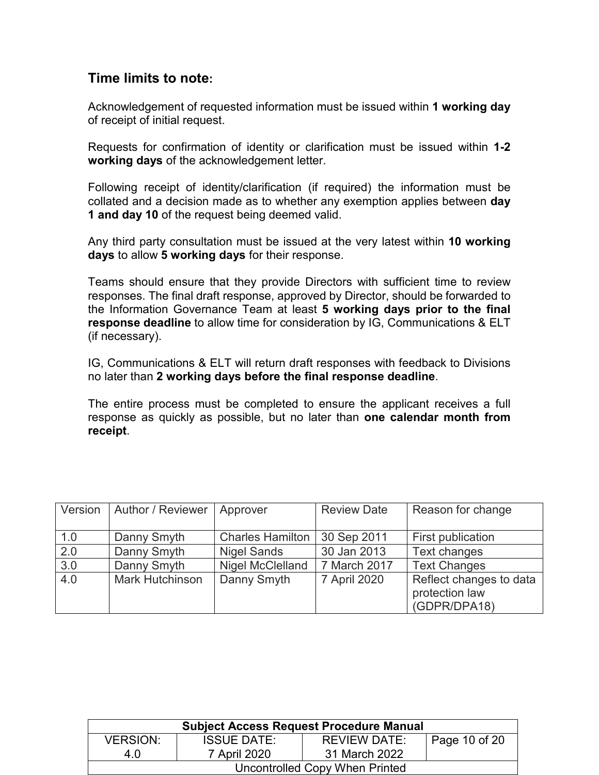#### **Time limits to note:**

Acknowledgement of requested information must be issued within **1 working day** of receipt of initial request.

Requests for confirmation of identity or clarification must be issued within **1-2 working days** of the acknowledgement letter.

Following receipt of identity/clarification (if required) the information must be collated and a decision made as to whether any exemption applies between **day 1 and day 10** of the request being deemed valid.

Any third party consultation must be issued at the very latest within **10 working days** to allow **5 working days** for their response.

Teams should ensure that they provide Directors with sufficient time to review responses. The final draft response, approved by Director, should be forwarded to the Information Governance Team at least **5 working days prior to the final response deadline** to allow time for consideration by IG, Communications & ELT (if necessary).

IG, Communications & ELT will return draft responses with feedback to Divisions no later than **2 working days before the final response deadline**.

The entire process must be completed to ensure the applicant receives a full response as quickly as possible, but no later than **one calendar month from receipt**.

| Version | Author / Reviewer      | Approver                | <b>Review Date</b> | Reason for change                                         |
|---------|------------------------|-------------------------|--------------------|-----------------------------------------------------------|
| 1.0     | Danny Smyth            | <b>Charles Hamilton</b> | 30 Sep 2011        | First publication                                         |
| 2.0     | Danny Smyth            | <b>Nigel Sands</b>      | 30 Jan 2013        | Text changes                                              |
| 3.0     | Danny Smyth            | <b>Nigel McClelland</b> | 7 March 2017       | <b>Text Changes</b>                                       |
| 4.0     | <b>Mark Hutchinson</b> | Danny Smyth             | 7 April 2020       | Reflect changes to data<br>protection law<br>(GDPR/DPA18) |

| <b>Subject Access Request Procedure Manual</b> |                    |                     |                              |  |
|------------------------------------------------|--------------------|---------------------|------------------------------|--|
| <b>VERSION:</b>                                | <b>ISSUE DATE:</b> | <b>REVIEW DATE:</b> | $\overline{1}$ Page 10 of 20 |  |
| 4 O                                            | 7 April 2020       | 31 March 2022       |                              |  |
| Uncontrolled Copy When Printed                 |                    |                     |                              |  |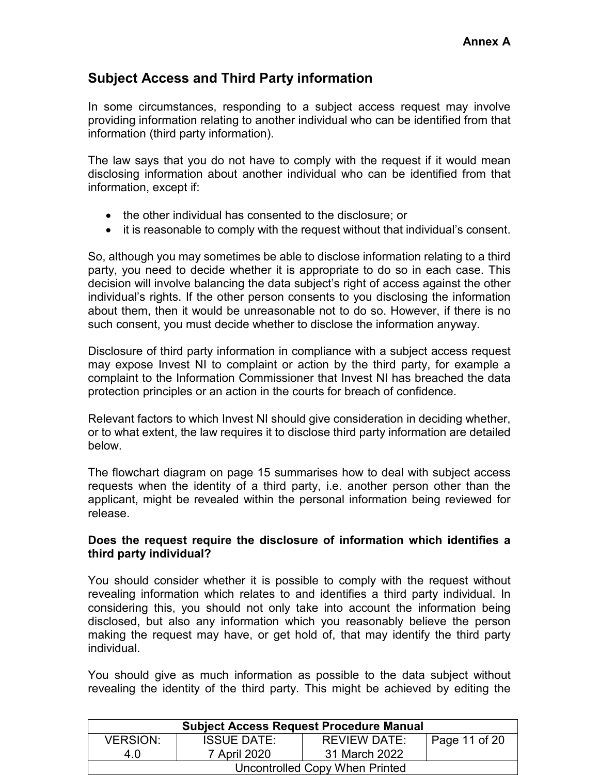## **Subject Access and Third Party information**

In some circumstances, responding to a subject access request may involve providing information relating to another individual who can be identified from that information (third party information).

The law says that you do not have to comply with the request if it would mean disclosing information about another individual who can be identified from that information, except if:

- the other individual has consented to the disclosure; or
- it is reasonable to comply with the request without that individual's consent.

So, although you may sometimes be able to disclose information relating to a third party, you need to decide whether it is appropriate to do so in each case. This decision will involve balancing the data subject's right of access against the other individual's rights. If the other person consents to you disclosing the information about them, then it would be unreasonable not to do so. However, if there is no such consent, you must decide whether to disclose the information anyway.

Disclosure of third party information in compliance with a subject access request may expose Invest NI to complaint or action by the third party, for example a complaint to the Information Commissioner that Invest NI has breached the data protection principles or an action in the courts for breach of confidence.

Relevant factors to which Invest NI should give consideration in deciding whether, or to what extent, the law requires it to disclose third party information are detailed below.

The flowchart diagram on page 15 summarises how to deal with subject access requests when the identity of a third party, i.e. another person other than the applicant, might be revealed within the personal information being reviewed for release.

#### **Does the request require the disclosure of information which identifies a third party individual?**

You should consider whether it is possible to comply with the request without revealing information which relates to and identifies a third party individual. In considering this, you should not only take into account the information being disclosed, but also any information which you reasonably believe the person making the request may have, or get hold of, that may identify the third party individual.

You should give as much information as possible to the data subject without revealing the identity of the third party. This might be achieved by editing the

| <b>Subject Access Request Procedure Manual</b> |                    |                     |               |  |
|------------------------------------------------|--------------------|---------------------|---------------|--|
| <b>VERSION:</b>                                | <b>ISSUE DATE:</b> | <b>REVIEW DATE:</b> | Page 11 of 20 |  |
| 4 O                                            | 7 April 2020       | 31 March 2022       |               |  |
| Uncontrolled Copy When Printed                 |                    |                     |               |  |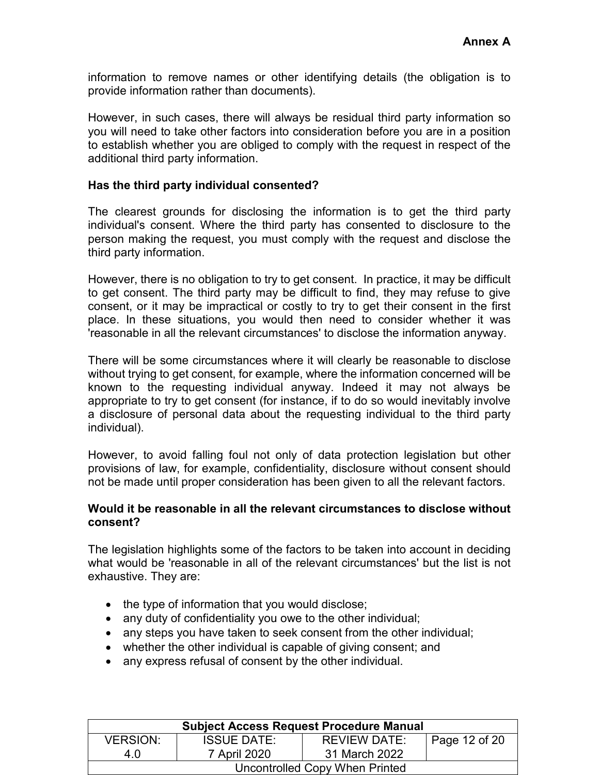information to remove names or other identifying details (the obligation is to provide information rather than documents).

However, in such cases, there will always be residual third party information so you will need to take other factors into consideration before you are in a position to establish whether you are obliged to comply with the request in respect of the additional third party information.

#### **Has the third party individual consented?**

The clearest grounds for disclosing the information is to get the third party individual's consent. Where the third party has consented to disclosure to the person making the request, you must comply with the request and disclose the third party information.

However, there is no obligation to try to get consent. In practice, it may be difficult to get consent. The third party may be difficult to find, they may refuse to give consent, or it may be impractical or costly to try to get their consent in the first place. In these situations, you would then need to consider whether it was 'reasonable in all the relevant circumstances' to disclose the information anyway.

There will be some circumstances where it will clearly be reasonable to disclose without trying to get consent, for example, where the information concerned will be known to the requesting individual anyway. Indeed it may not always be appropriate to try to get consent (for instance, if to do so would inevitably involve a disclosure of personal data about the requesting individual to the third party individual).

However, to avoid falling foul not only of data protection legislation but other provisions of law, for example, confidentiality, disclosure without consent should not be made until proper consideration has been given to all the relevant factors.

#### **Would it be reasonable in all the relevant circumstances to disclose without consent?**

The legislation highlights some of the factors to be taken into account in deciding what would be 'reasonable in all of the relevant circumstances' but the list is not exhaustive. They are:

- the type of information that you would disclose;
- any duty of confidentiality you owe to the other individual;
- any steps you have taken to seek consent from the other individual;
- whether the other individual is capable of giving consent; and
- any express refusal of consent by the other individual.

| <b>Subject Access Request Procedure Manual</b> |                    |                     |               |  |
|------------------------------------------------|--------------------|---------------------|---------------|--|
| <b>VERSION:</b>                                | <b>ISSUE DATE:</b> | <b>REVIEW DATE:</b> | Page 12 of 20 |  |
| 4 O                                            | 7 April 2020       | 31 March 2022       |               |  |
| Uncontrolled Copy When Printed                 |                    |                     |               |  |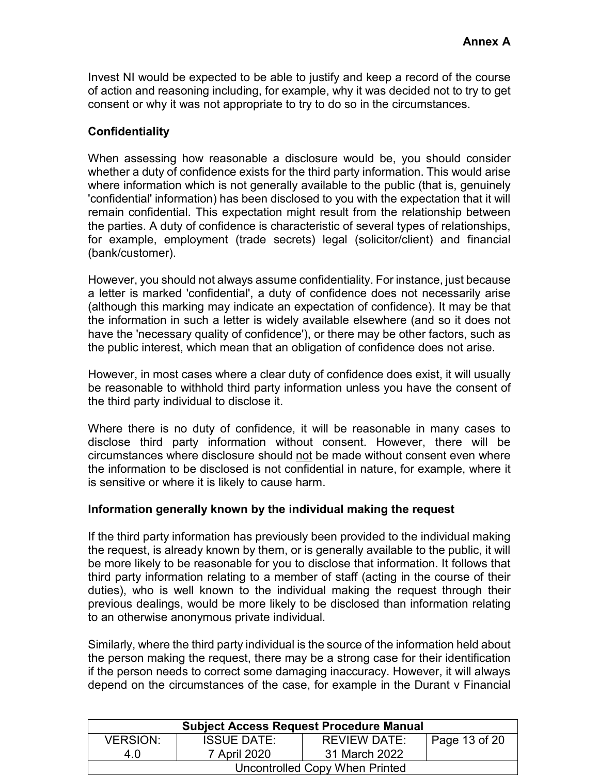Invest NI would be expected to be able to justify and keep a record of the course of action and reasoning including, for example, why it was decided not to try to get consent or why it was not appropriate to try to do so in the circumstances.

#### **Confidentiality**

When assessing how reasonable a disclosure would be, you should consider whether a duty of confidence exists for the third party information. This would arise where information which is not generally available to the public (that is, genuinely 'confidential' information) has been disclosed to you with the expectation that it will remain confidential. This expectation might result from the relationship between the parties. A duty of confidence is characteristic of several types of relationships, for example, employment (trade secrets) legal (solicitor/client) and financial (bank/customer).

However, you should not always assume confidentiality. For instance, just because a letter is marked 'confidential', a duty of confidence does not necessarily arise (although this marking may indicate an expectation of confidence). It may be that the information in such a letter is widely available elsewhere (and so it does not have the 'necessary quality of confidence'), or there may be other factors, such as the public interest, which mean that an obligation of confidence does not arise.

However, in most cases where a clear duty of confidence does exist, it will usually be reasonable to withhold third party information unless you have the consent of the third party individual to disclose it.

Where there is no duty of confidence, it will be reasonable in many cases to disclose third party information without consent. However, there will be circumstances where disclosure should not be made without consent even where the information to be disclosed is not confidential in nature, for example, where it is sensitive or where it is likely to cause harm.

#### **Information generally known by the individual making the request**

If the third party information has previously been provided to the individual making the request, is already known by them, or is generally available to the public, it will be more likely to be reasonable for you to disclose that information. It follows that third party information relating to a member of staff (acting in the course of their duties), who is well known to the individual making the request through their previous dealings, would be more likely to be disclosed than information relating to an otherwise anonymous private individual.

Similarly, where the third party individual is the source of the information held about the person making the request, there may be a strong case for their identification if the person needs to correct some damaging inaccuracy. However, it will always depend on the circumstances of the case, for example in the Durant v Financial

| <b>Subject Access Request Procedure Manual</b> |                    |                     |                       |  |
|------------------------------------------------|--------------------|---------------------|-----------------------|--|
| <b>VERSION:</b>                                | <b>ISSUE DATE:</b> | <b>REVIEW DATE:</b> | $\vert$ Page 13 of 20 |  |
| 4 O                                            | 7 April 2020       | 31 March 2022       |                       |  |
| Uncontrolled Copy When Printed                 |                    |                     |                       |  |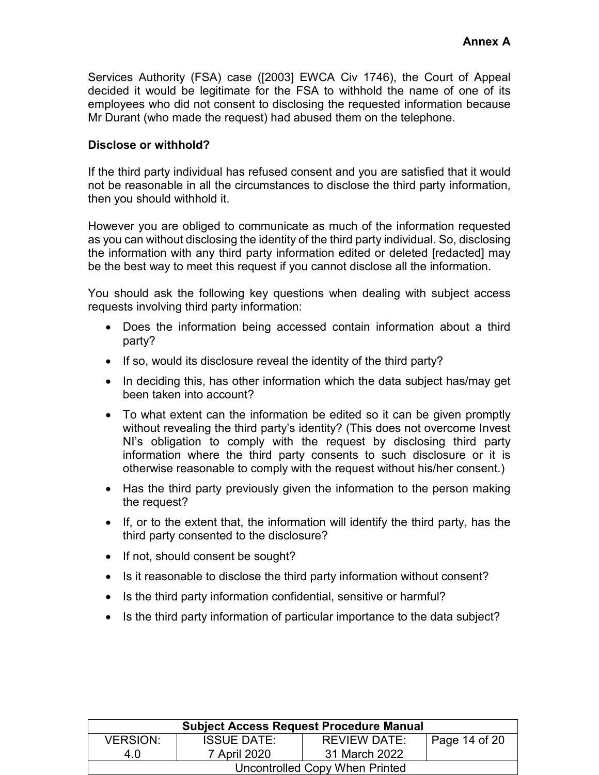Services Authority (FSA) case ([2003] EWCA Civ 1746), the Court of Appeal decided it would be legitimate for the FSA to withhold the name of one of its employees who did not consent to disclosing the requested information because Mr Durant (who made the request) had abused them on the telephone.

#### **Disclose or withhold?**

If the third party individual has refused consent and you are satisfied that it would not be reasonable in all the circumstances to disclose the third party information, then you should withhold it.

However you are obliged to communicate as much of the information requested as you can without disclosing the identity of the third party individual. So, disclosing the information with any third party information edited or deleted [redacted] may be the best way to meet this request if you cannot disclose all the information.

You should ask the following key questions when dealing with subject access requests involving third party information:

- Does the information being accessed contain information about a third party?
- If so, would its disclosure reveal the identity of the third party?
- In deciding this, has other information which the data subject has/may get been taken into account?
- To what extent can the information be edited so it can be given promptly without revealing the third party's identity? (This does not overcome Invest NI's obligation to comply with the request by disclosing third party information where the third party consents to such disclosure or it is otherwise reasonable to comply with the request without his/her consent.)
- Has the third party previously given the information to the person making the request?
- If, or to the extent that, the information will identify the third party, has the third party consented to the disclosure?
- If not, should consent be sought?
- Is it reasonable to disclose the third party information without consent?
- Is the third party information confidential, sensitive or harmful?
- Is the third party information of particular importance to the data subject?

| <b>Subject Access Request Procedure Manual</b> |                    |                     |               |  |
|------------------------------------------------|--------------------|---------------------|---------------|--|
| <b>VERSION:</b>                                | <b>ISSUE DATE:</b> | <b>REVIEW DATE:</b> | Page 14 of 20 |  |
| 4.0                                            | 7 April 2020       | 31 March 2022       |               |  |
| Uncontrolled Copy When Printed                 |                    |                     |               |  |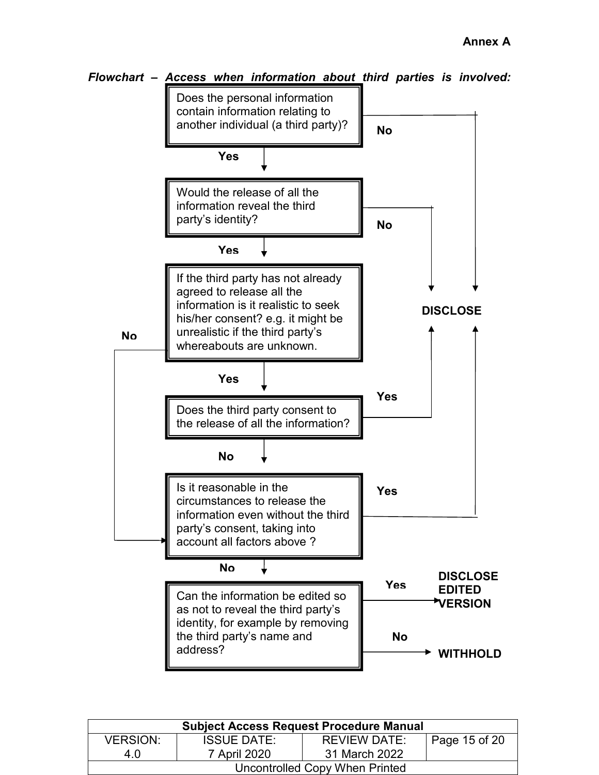

| Flowchart - Access when information about third parties is involved: |  |  |  |  |
|----------------------------------------------------------------------|--|--|--|--|
|                                                                      |  |  |  |  |

| <b>Subject Access Request Procedure Manual</b> |                    |               |               |  |
|------------------------------------------------|--------------------|---------------|---------------|--|
| <b>VERSION:</b>                                | <b>ISSUE DATE:</b> | REVIEW DATE:  | Page 15 of 20 |  |
| 4 O                                            | 7 April 2020       | 31 March 2022 |               |  |
| Uncontrolled Copy When Printed                 |                    |               |               |  |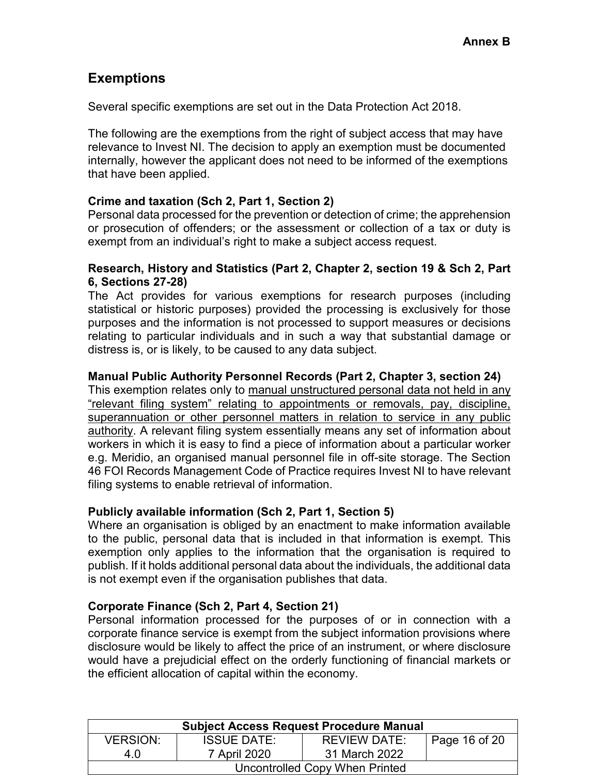## **Exemptions**

Several specific exemptions are set out in the Data Protection Act 2018.

The following are the exemptions from the right of subject access that may have relevance to Invest NI. The decision to apply an exemption must be documented internally, however the applicant does not need to be informed of the exemptions that have been applied.

#### **Crime and taxation (Sch 2, Part 1, Section 2)**

Personal data processed for the prevention or detection of crime; the apprehension or prosecution of offenders; or the assessment or collection of a tax or duty is exempt from an individual's right to make a subject access request.

#### **Research, History and Statistics (Part 2, Chapter 2, section 19 & Sch 2, Part 6, Sections 27-28)**

The Act provides for various exemptions for research purposes (including statistical or historic purposes) provided the processing is exclusively for those purposes and the information is not processed to support measures or decisions relating to particular individuals and in such a way that substantial damage or distress is, or is likely, to be caused to any data subject.

#### **Manual Public Authority Personnel Records (Part 2, Chapter 3, section 24)**

This exemption relates only to manual unstructured personal data not held in any "relevant filing system" relating to appointments or removals, pay, discipline, superannuation or other personnel matters in relation to service in any public authority. A relevant filing system essentially means any set of information about workers in which it is easy to find a piece of information about a particular worker e.g. Meridio, an organised manual personnel file in off-site storage. The Section 46 FOI Records Management Code of Practice requires Invest NI to have relevant filing systems to enable retrieval of information.

#### **Publicly available information (Sch 2, Part 1, Section 5)**

Where an organisation is obliged by an enactment to make information available to the public, personal data that is included in that information is exempt. This exemption only applies to the information that the organisation is required to publish. If it holds additional personal data about the individuals, the additional data is not exempt even if the organisation publishes that data.

#### **Corporate Finance (Sch 2, Part 4, Section 21)**

Personal information processed for the purposes of or in connection with a corporate finance service is exempt from the subject information provisions where disclosure would be likely to affect the price of an instrument, or where disclosure would have a prejudicial effect on the orderly functioning of financial markets or the efficient allocation of capital within the economy.

| <b>Subject Access Request Procedure Manual</b> |                    |               |                             |  |
|------------------------------------------------|--------------------|---------------|-----------------------------|--|
| <b>VERSION:</b>                                | <b>ISSUE DATE:</b> | REVIEW DATE:  | $\frac{1}{2}$ Page 16 of 20 |  |
| 40                                             | 7 April 2020       | 31 March 2022 |                             |  |
| Uncontrolled Copy When Printed                 |                    |               |                             |  |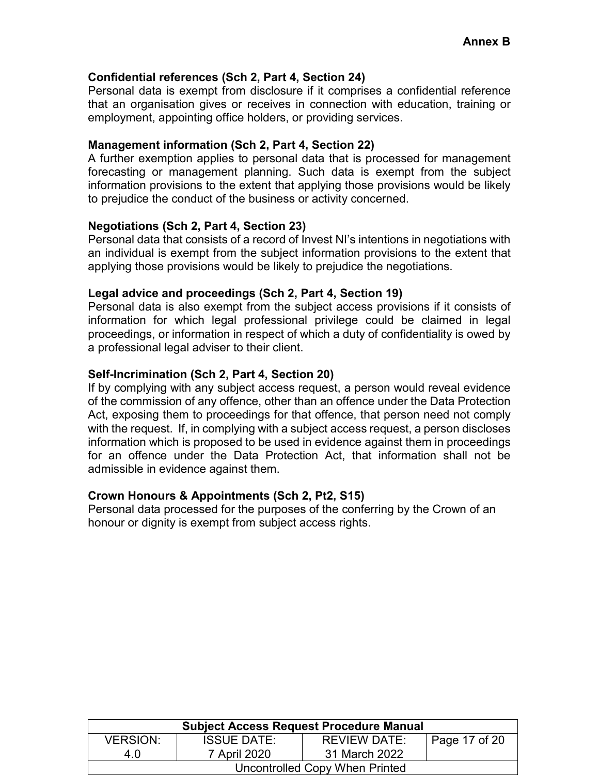#### **Confidential references (Sch 2, Part 4, Section 24)**

Personal data is exempt from disclosure if it comprises a confidential reference that an organisation gives or receives in connection with education, training or employment, appointing office holders, or providing services.

#### **Management information (Sch 2, Part 4, Section 22)**

A further exemption applies to personal data that is processed for management forecasting or management planning. Such data is exempt from the subject information provisions to the extent that applying those provisions would be likely to prejudice the conduct of the business or activity concerned.

#### **Negotiations (Sch 2, Part 4, Section 23)**

Personal data that consists of a record of Invest NI's intentions in negotiations with an individual is exempt from the subject information provisions to the extent that applying those provisions would be likely to prejudice the negotiations.

#### **Legal advice and proceedings (Sch 2, Part 4, Section 19)**

Personal data is also exempt from the subject access provisions if it consists of information for which legal professional privilege could be claimed in legal proceedings, or information in respect of which a duty of confidentiality is owed by a professional legal adviser to their client.

#### **Self-Incrimination (Sch 2, Part 4, Section 20)**

If by complying with any subject access request, a person would reveal evidence of the commission of any offence, other than an offence under the Data Protection Act, exposing them to proceedings for that offence, that person need not comply with the request. If, in complying with a subject access request, a person discloses information which is proposed to be used in evidence against them in proceedings for an offence under the Data Protection Act, that information shall not be admissible in evidence against them.

#### **Crown Honours & Appointments (Sch 2, Pt2, S15)**

Personal data processed for the purposes of the conferring by the Crown of an honour or dignity is exempt from subject access rights.

| <b>Subject Access Request Procedure Manual</b> |                    |                     |               |  |
|------------------------------------------------|--------------------|---------------------|---------------|--|
| <b>VERSION:</b>                                | <b>ISSUE DATE:</b> | <b>REVIEW DATE:</b> | Page 17 of 20 |  |
| 4 O                                            | 7 April 2020       | 31 March 2022       |               |  |
| Uncontrolled Copy When Printed                 |                    |                     |               |  |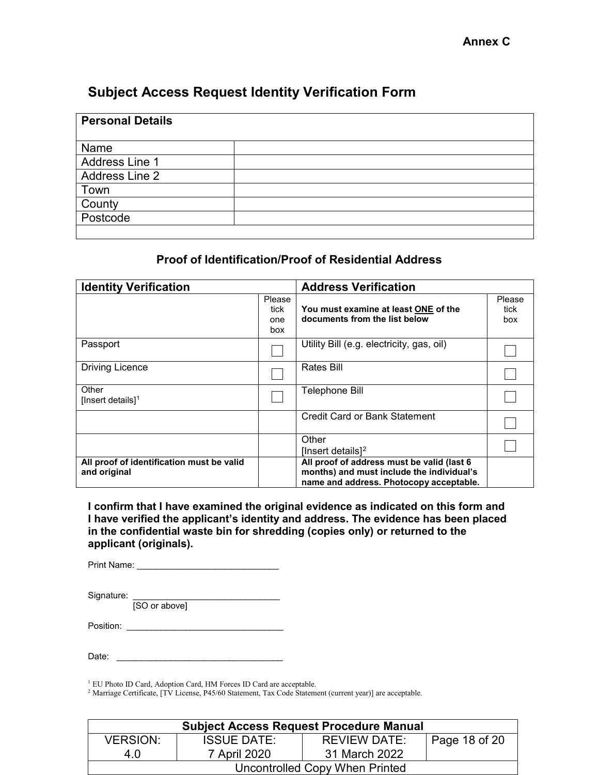## **Subject Access Request Identity Verification Form**

| <b>Personal Details</b> |  |
|-------------------------|--|
|                         |  |
| Name                    |  |
| Address Line 1          |  |
| Address Line 2          |  |
| Town                    |  |
| County                  |  |
| Postcode                |  |
|                         |  |

#### **Proof of Identification/Proof of Residential Address**

| <b>Identity Verification</b>                              |                              | <b>Address Verification</b>                                                                                                         |                       |
|-----------------------------------------------------------|------------------------------|-------------------------------------------------------------------------------------------------------------------------------------|-----------------------|
|                                                           | Please<br>tick<br>one<br>box | You must examine at least ONE of the<br>documents from the list below                                                               | Please<br>tick<br>box |
| Passport                                                  |                              | Utility Bill (e.g. electricity, gas, oil)                                                                                           |                       |
| <b>Driving Licence</b>                                    |                              | Rates Bill                                                                                                                          |                       |
| Other<br>[Insert details] $1$                             |                              | Telephone Bill                                                                                                                      |                       |
|                                                           |                              | Credit Card or Bank Statement                                                                                                       |                       |
|                                                           |                              | Other<br>[Insert details] <sup>2</sup>                                                                                              |                       |
| All proof of identification must be valid<br>and original |                              | All proof of address must be valid (last 6)<br>months) and must include the individual's<br>name and address. Photocopy acceptable. |                       |

**I confirm that I have examined the original evidence as indicated on this form and I have verified the applicant's identity and address. The evidence has been placed in the confidential waste bin for shredding (copies only) or returned to the applicant (originals).** 

Print Name: \_\_\_\_\_\_\_\_\_\_\_\_\_\_\_\_\_\_\_\_\_\_\_\_\_\_\_\_\_

Signature: \_\_\_\_\_\_\_\_\_\_\_\_\_\_\_\_\_\_\_\_\_\_\_\_\_\_\_\_\_\_\_\_\_\_

[SO or above]

Position: \_\_\_\_\_\_\_\_\_\_\_\_\_\_\_\_\_\_\_\_\_\_\_\_\_\_\_\_\_\_\_\_

| n.<br>Date: |  |
|-------------|--|
|             |  |

<span id="page-17-0"></span><sup>1</sup> EU Photo ID Card, Adoption Card, HM Forces ID Card are acceptable.

<span id="page-17-1"></span><sup>2</sup> Marriage Certificate, [TV License, P45/60 Statement, Tax Code Statement (current year)] are acceptable.

| <b>Subject Access Request Procedure Manual</b> |                    |               |               |  |
|------------------------------------------------|--------------------|---------------|---------------|--|
| <b>VERSION:</b>                                | <b>ISSUE DATE:</b> | REVIEW DATE:  | Page 18 of 20 |  |
| 4 O                                            | 7 April 2020       | 31 March 2022 |               |  |
| Uncontrolled Copy When Printed                 |                    |               |               |  |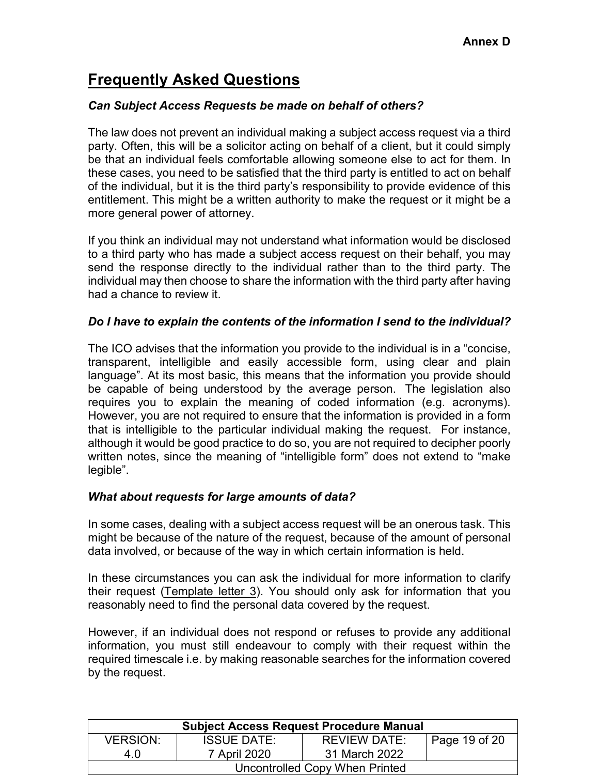## **Frequently Asked Questions**

#### *Can Subject Access Requests be made on behalf of others?*

The law does not prevent an individual making a subject access request via a third party. Often, this will be a solicitor acting on behalf of a client, but it could simply be that an individual feels comfortable allowing someone else to act for them. In these cases, you need to be satisfied that the third party is entitled to act on behalf of the individual, but it is the third party's responsibility to provide evidence of this entitlement. This might be a written authority to make the request or it might be a more general power of attorney.

If you think an individual may not understand what information would be disclosed to a third party who has made a subject access request on their behalf, you may send the response directly to the individual rather than to the third party. The individual may then choose to share the information with the third party after having had a chance to review it.

#### *Do I have to explain the contents of the information I send to the individual?*

The ICO advises that the information you provide to the individual is in a "concise, transparent, intelligible and easily accessible form, using clear and plain language". At its most basic, this means that the information you provide should be capable of being understood by the average person. The legislation also requires you to explain the meaning of coded information (e.g. acronyms). However, you are not required to ensure that the information is provided in a form that is intelligible to the particular individual making the request. For instance, although it would be good practice to do so, you are not required to decipher poorly written notes, since the meaning of "intelligible form" does not extend to "make legible".

#### *What about requests for large amounts of data?*

In some cases, dealing with a subject access request will be an onerous task. This might be because of the nature of the request, because of the amount of personal data involved, or because of the way in which certain information is held.

In these circumstances you can ask the individual for more information to clarify their request (Template letter  $3$ ). You should only ask for information that you reasonably need to find the personal data covered by the request.

However, if an individual does not respond or refuses to provide any additional information, you must still endeavour to comply with their request within the required timescale i.e. by making reasonable searches for the information covered by the request.

| <b>Subject Access Request Procedure Manual</b> |                    |                     |               |  |
|------------------------------------------------|--------------------|---------------------|---------------|--|
| <b>VERSION:</b>                                | <b>ISSUE DATE:</b> | <b>REVIEW DATE:</b> | Page 19 of 20 |  |
| 4.0                                            | 7 April 2020       | 31 March 2022       |               |  |
| Uncontrolled Copy When Printed                 |                    |                     |               |  |